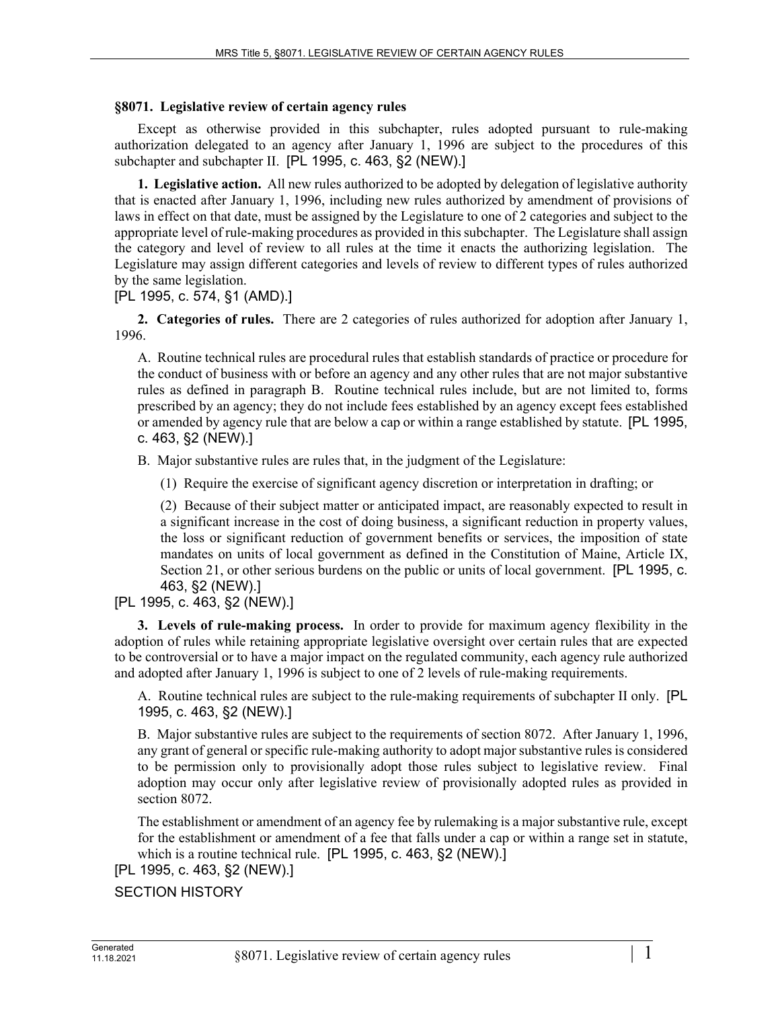## **§8071. Legislative review of certain agency rules**

Except as otherwise provided in this subchapter, rules adopted pursuant to rule-making authorization delegated to an agency after January 1, 1996 are subject to the procedures of this subchapter and subchapter II. [PL 1995, c. 463, §2 (NEW).]

**1. Legislative action.** All new rules authorized to be adopted by delegation of legislative authority that is enacted after January 1, 1996, including new rules authorized by amendment of provisions of laws in effect on that date, must be assigned by the Legislature to one of 2 categories and subject to the appropriate level of rule-making procedures as provided in this subchapter. The Legislature shall assign the category and level of review to all rules at the time it enacts the authorizing legislation. The Legislature may assign different categories and levels of review to different types of rules authorized by the same legislation.

[PL 1995, c. 574, §1 (AMD).]

**2. Categories of rules.** There are 2 categories of rules authorized for adoption after January 1, 1996.

A. Routine technical rules are procedural rules that establish standards of practice or procedure for the conduct of business with or before an agency and any other rules that are not major substantive rules as defined in paragraph B. Routine technical rules include, but are not limited to, forms prescribed by an agency; they do not include fees established by an agency except fees established or amended by agency rule that are below a cap or within a range established by statute. [PL 1995, c. 463, §2 (NEW).]

B. Major substantive rules are rules that, in the judgment of the Legislature:

(1) Require the exercise of significant agency discretion or interpretation in drafting; or

(2) Because of their subject matter or anticipated impact, are reasonably expected to result in a significant increase in the cost of doing business, a significant reduction in property values, the loss or significant reduction of government benefits or services, the imposition of state mandates on units of local government as defined in the Constitution of Maine, Article IX, Section 21, or other serious burdens on the public or units of local government. [PL 1995, c. 463, §2 (NEW).]

## [PL 1995, c. 463, §2 (NEW).]

**3. Levels of rule-making process.** In order to provide for maximum agency flexibility in the adoption of rules while retaining appropriate legislative oversight over certain rules that are expected to be controversial or to have a major impact on the regulated community, each agency rule authorized and adopted after January 1, 1996 is subject to one of 2 levels of rule-making requirements.

A. Routine technical rules are subject to the rule-making requirements of subchapter II only. [PL 1995, c. 463, §2 (NEW).]

B. Major substantive rules are subject to the requirements of section 8072. After January 1, 1996, any grant of general or specific rule-making authority to adopt major substantive rules is considered to be permission only to provisionally adopt those rules subject to legislative review. Final adoption may occur only after legislative review of provisionally adopted rules as provided in section 8072.

The establishment or amendment of an agency fee by rulemaking is a major substantive rule, except for the establishment or amendment of a fee that falls under a cap or within a range set in statute, which is a routine technical rule. [PL 1995, c. 463, §2 (NEW).]

[PL 1995, c. 463, §2 (NEW).]

SECTION HISTORY